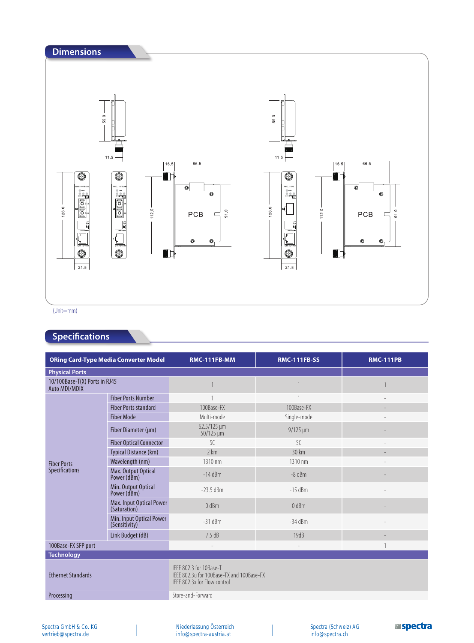

## **Specifications**

|                                                | <b>ORing Card-Type Media Converter Model</b> | <b>RMC-111FB-MM</b>                                                                                  | <b>RMC-111FB-SS</b>      | <b>RMC-111PB</b>         |  |
|------------------------------------------------|----------------------------------------------|------------------------------------------------------------------------------------------------------|--------------------------|--------------------------|--|
| <b>Physical Ports</b>                          |                                              |                                                                                                      |                          |                          |  |
| 10/100Base-T(X) Ports in RJ45<br>Auto MDI/MDIX |                                              |                                                                                                      |                          |                          |  |
|                                                | <b>Fiber Ports Number</b>                    | $\overline{1}$                                                                                       |                          | $\overline{\phantom{a}}$ |  |
|                                                | <b>Fiber Ports standard</b>                  | 100Base-FX                                                                                           | 100Base-FX               |                          |  |
|                                                | <b>Fiber Mode</b>                            | Multi-mode                                                                                           | Single-mode              |                          |  |
|                                                | Fiber Diameter (µm)                          | 62.5/125 µm<br>$50/125 \mu m$                                                                        | $9/125 \mu m$            |                          |  |
|                                                | <b>Fiber Optical Connector</b>               | $\mathcal{S}$ C                                                                                      | SC.                      |                          |  |
|                                                | Typical Distance (km)                        | 2 km                                                                                                 | $30 \text{ km}$          |                          |  |
| <b>Fiber Ports</b>                             | Wavelength (nm)                              | 1310 nm                                                                                              | 1310 nm                  |                          |  |
| <b>Specifications</b>                          | Max. Output Optical<br>Power (dBm)           | $-14$ dBm                                                                                            | $-8$ dBm                 |                          |  |
|                                                | Min. Output Optical<br>Power (dBm)           | $-23.5$ dBm                                                                                          | $-15$ dBm                |                          |  |
|                                                | Max. Input Optical Power<br>(Saturation)     | 0 dBm                                                                                                | 0 dBm                    |                          |  |
|                                                | Min. Input Optical Power<br>(Sensitivity)    | $-31$ dBm                                                                                            | $-34$ dBm                |                          |  |
|                                                | Link Budget (dB)                             | 7.5dB                                                                                                | 19dB                     |                          |  |
| 100Base-FX SFP port                            |                                              | $\overline{\phantom{a}}$                                                                             | $\overline{\phantom{0}}$ |                          |  |
| <b>Technology</b>                              |                                              |                                                                                                      |                          |                          |  |
| <b>Ethernet Standards</b>                      |                                              | IEEE 802.3 for 10Base-T<br>IEEE 802.3u for 100Base-TX and 100Base-FX<br>IEEE 802.3x for Flow control |                          |                          |  |
| Processing                                     |                                              | Store-and-Forward                                                                                    |                          |                          |  |

Niederlassung Österreich info@spectra-austria.at

 $\overline{\phantom{a}}$